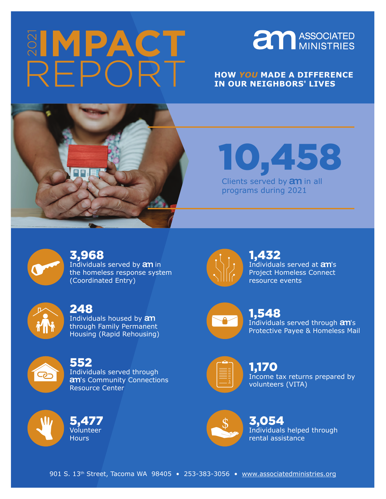# REPORT



### **HOW** *YOU* **MADE A DIFFERENCE IN OUR NEIGHBORS' LIVES**



10,458 Clients served by  $an$  in all

programs during 2021



# 3,968

Individuals served by **am** in the homeless response system (Coordinated Entry)



### 248

Individuals housed by  $an$ through Family Permanent Housing (Rapid Rehousing)



## 552

Volunteer **Hours** 

5,477

Individuals served through 's Community Connections Resource Center



Individuals served at **am's** Project Homeless Connect resource events 1,432



1,548 Individuals served through  $am$ 's Protective Payee & Homeless Mail



Income tax returns prepared by volunteers (VITA) 1,170



Individuals helped through rental assistance 3,054